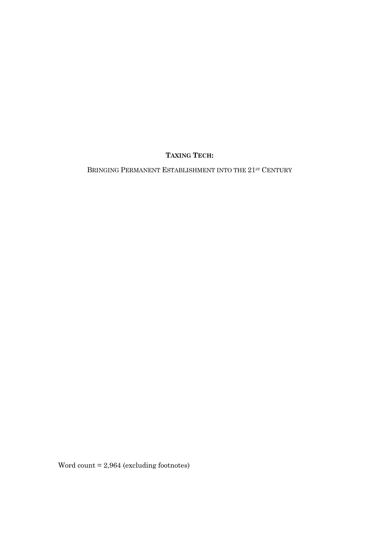# **TAXING TECH:**

BRINGING PERMANENT ESTABLISHMENT INTO THE 21<sup>st</sup> CENTURY

Word count = 2,964 (excluding footnotes)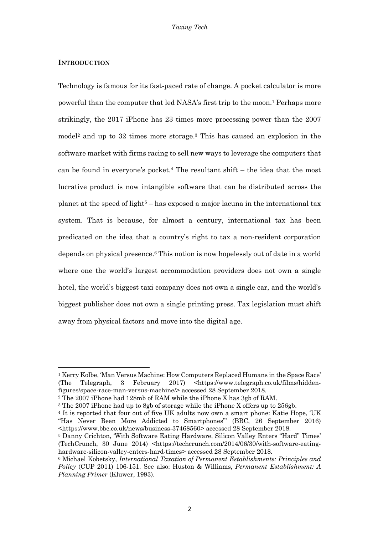# **INTRODUCTION**

 $\overline{\phantom{a}}$ 

Technology is famous for its fast-paced rate of change. A pocket calculator is more powerful than the computer that led NASA's first trip to the moon.1 Perhaps more strikingly, the 2017 iPhone has 23 times more processing power than the 2007 model2 and up to 32 times more storage.3 This has caused an explosion in the software market with firms racing to sell new ways to leverage the computers that can be found in everyone's pocket.<sup>4</sup> The resultant shift  $-$  the idea that the most lucrative product is now intangible software that can be distributed across the planet at the speed of light<sup>5</sup> – has exposed a major lacuna in the international tax system. That is because, for almost a century, international tax has been predicated on the idea that a country's right to tax a non-resident corporation depends on physical presence.6 This notion is now hopelessly out of date in a world where one the world's largest accommodation providers does not own a single hotel, the world's biggest taxi company does not own a single car, and the world's biggest publisher does not own a single printing press. Tax legislation must shift away from physical factors and move into the digital age.

<sup>1</sup> Kerry Kolbe, 'Man Versus Machine: How Computers Replaced Humans in the Space Race' (The Telegraph, 3 February 2017) <https://www.telegraph.co.uk/films/hiddenfigures/space-race-man-versus-machine/> accessed 28 September 2018.

<sup>2</sup> The 2007 iPhone had 128mb of RAM while the iPhone X has 3gb of RAM.

<sup>&</sup>lt;sup>3</sup> The 2007 iPhone had up to 8gb of storage while the iPhone X offers up to 256gb.

<sup>4</sup> It is reported that four out of five UK adults now own a smart phone: Katie Hope, 'UK "Has Never Been More Addicted to Smartphones"' (BBC, 26 September 2016) <https://www.bbc.co.uk/news/business-37468560> accessed 28 September 2018.

<sup>5</sup> Danny Crichton, 'With Software Eating Hardware, Silicon Valley Enters "Hard" Times' (TechCrunch, 30 June 2014)  $\kappa$ ttos://techcrunch.com/2014/06/30/with-software-eatinghardware-silicon-valley-enters-hard-times> accessed 28 September 2018.

<sup>6</sup> Michael Kobetsky, *International Taxation of Permanent Establishments: Principles and Policy* (CUP 2011) 106-151. See also: Huston & Williams, *Permanent Establishment: A Planning Primer* (Kluwer, 1993).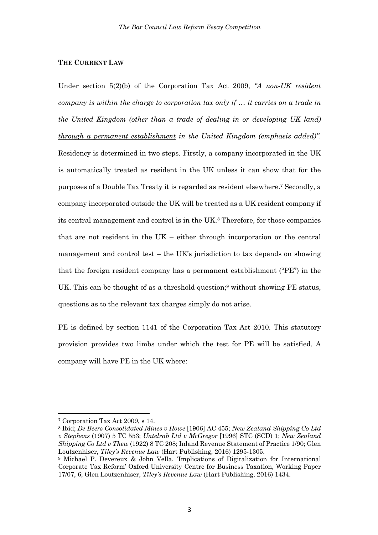# **THE CURRENT LAW**

Under section 5(2)(b) of the Corporation Tax Act 2009, *"A non-UK resident company is within the charge to corporation tax only if … it carries on a trade in the United Kingdom (other than a trade of dealing in or developing UK land) through a permanent establishment in the United Kingdom (emphasis added)"*. Residency is determined in two steps. Firstly, a company incorporated in the UK is automatically treated as resident in the UK unless it can show that for the purposes of a Double Tax Treaty it is regarded as resident elsewhere.7 Secondly, a company incorporated outside the UK will be treated as a UK resident company if its central management and control is in the UK.8 Therefore, for those companies that are not resident in the UK – either through incorporation or the central management and control test – the UK's jurisdiction to tax depends on showing that the foreign resident company has a permanent establishment ("PE") in the UK. This can be thought of as a threshold question;<sup>9</sup> without showing PE status, questions as to the relevant tax charges simply do not arise.

PE is defined by section 1141 of the Corporation Tax Act 2010. This statutory provision provides two limbs under which the test for PE will be satisfied. A company will have PE in the UK where:

<sup>7</sup> Corporation Tax Act 2009, s 14.

<sup>8</sup> Ibid; *De Beers Consolidated Mines v Howe* [1906] AC 455; *New Zealand Shipping Co Ltd v Stephens* (1907) 5 TC 553; *Untelrab Ltd v McGregor* [1996] STC (SCD) 1; *New Zealand Shipping Co Ltd v Thew* (1922) 8 TC 208; Inland Revenue Statement of Practice 1/90; Glen Loutzenhiser, *Tiley's Revenue Law* (Hart Publishing, 2016) 1295-1305.

<sup>9</sup> Michael P. Devereux & John Vella, 'Implications of Digitalization for International Corporate Tax Reform' Oxford University Centre for Business Taxation, Working Paper 17/07, 6; Glen Loutzenhiser, *Tiley's Revenue Law* (Hart Publishing, 2016) 1434.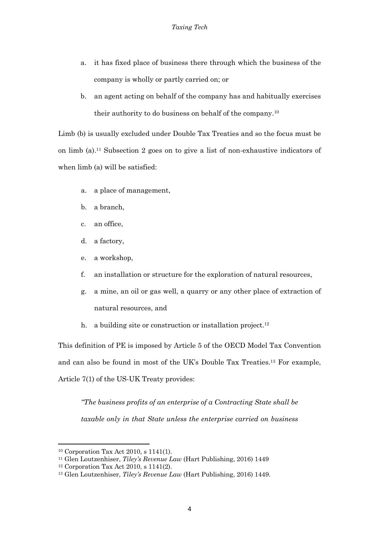- a. it has fixed place of business there through which the business of the company is wholly or partly carried on; or
- b. an agent acting on behalf of the company has and habitually exercises their authority to do business on behalf of the company.10

Limb (b) is usually excluded under Double Tax Treaties and so the focus must be on limb (a).11 Subsection 2 goes on to give a list of non-exhaustive indicators of when  $limb$  (a) will be satisfied:

- a. a place of management,
- b. a branch,
- c. an office,
- d. a factory,
- e. a workshop,
- f. an installation or structure for the exploration of natural resources,
- g. a mine, an oil or gas well, a quarry or any other place of extraction of natural resources, and
- h. a building site or construction or installation project.<sup>12</sup>

This definition of PE is imposed by Article 5 of the OECD Model Tax Convention and can also be found in most of the UK's Double Tax Treaties.13 For example, Article 7(1) of the US-UK Treaty provides:

*"The business profits of an enterprise of a Contracting State shall be taxable only in that State unless the enterprise carried on business* 

<sup>10</sup> Corporation Tax Act 2010, s 1141(1).

<sup>11</sup> Glen Loutzenhiser, *Tiley's Revenue Law* (Hart Publishing, 2016) 1449

<sup>12</sup> Corporation Tax Act 2010, s 1141(2).

<sup>13</sup> Glen Loutzenhiser, *Tiley's Revenue Law* (Hart Publishing, 2016) 1449.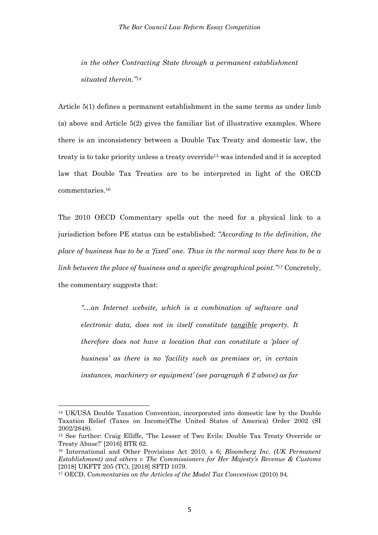*in the other Contracting State through a permanent establishment situated therein."14*

Article 5(1) defines a permanent establishment in the same terms as under limb (a) above and Article 5(2) gives the familiar list of illustrative examples. Where there is an inconsistency between a Double Tax Treaty and domestic law, the treaty is to take priority unless a treaty override15 was intended and it is accepted law that Double Tax Treaties are to be interpreted in light of the OECD commentaries.16

The 2010 OECD Commentary spells out the need for a physical link to a jurisdiction before PE status can be established: *"According to the definition, the place of business has to be a 'fixed' one. Thus in the normal way there has to be a link between the place of business and a specific geographical point."17* Concretely, the commentary suggests that:

*"…an Internet website, which is a combination of software and electronic data, does not in itself constitute tangible property. It therefore does not have a location that can constitute a 'place of business' as there is no 'facility such as premises or, in certain instances, machinery or equipment' (see paragraph 6 2 above) as far* 

<sup>14</sup> UK/USA Double Taxation Convention, incorporated into domestic law by the Double Taxation Relief (Taxes on Income)(The United States of America) Order 2002 (SI 2002/2848).

<sup>15</sup> See further: Craig Elliffe, 'The Lesser of Two Evils: Double Tax Treaty Override or Treaty Abuse?' [2016] BTR 62.

<sup>16</sup> International and Other Provisions Act 2010, s 6; *Bloomberg Inc. (UK Permanent Establishment) and others v The Commissioners for Her Majesty's Revenue & Customs* [2018] UKFTT 205 (TC), [2018] SFTD 1079.

<sup>17</sup> OECD, *Commentaries on the Articles of the Model Tax Convention* (2010) 94.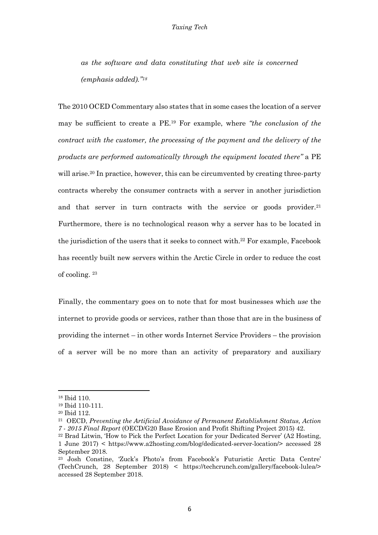*as the software and data constituting that web site is concerned (emphasis added)."18*

The 2010 OCED Commentary also states that in some cases the location of a server may be sufficient to create a PE.19 For example, where *"the conclusion of the contract with the customer, the processing of the payment and the delivery of the products are performed automatically through the equipment located there"* a PE will arise.<sup>20</sup> In practice, however, this can be circumvented by creating three-party contracts whereby the consumer contracts with a server in another jurisdiction and that server in turn contracts with the service or goods provider.<sup>21</sup> Furthermore, there is no technological reason why a server has to be located in the jurisdiction of the users that it seeks to connect with. <sup>22</sup> For example, Facebook has recently built new servers within the Arctic Circle in order to reduce the cost of cooling. <sup>23</sup>

Finally, the commentary goes on to note that for most businesses which *use* the internet to provide goods or services, rather than those that are in the business of providing the internet – in other words Internet Service Providers – the provision of a server will be no more than an activity of preparatory and auxiliary

<sup>18</sup> Ibid 110.

<sup>19</sup> Ibid 110-111.

<sup>20</sup> Ibid 112.

<sup>21</sup> OECD, *Preventing the Artificial Avoidance of Permanent Establishment Status, Action 7 - 2015 Final Report* (OECD/G20 Base Erosion and Profit Shifting Project 2015) 42.

<sup>22</sup> Brad Litwin, 'How to Pick the Perfect Location for your Dedicated Server' (A2 Hosting, 1 June 2017) < https://www.a2hosting.com/blog/dedicated-server-location/> accessed 28 September 2018.

<sup>23</sup> Josh Constine, 'Zuck's Photo's from Facebook's Futuristic Arctic Data Centre' (TechCrunch, 28 September 2018) < https://techcrunch.com/gallery/facebook-lulea/> accessed 28 September 2018.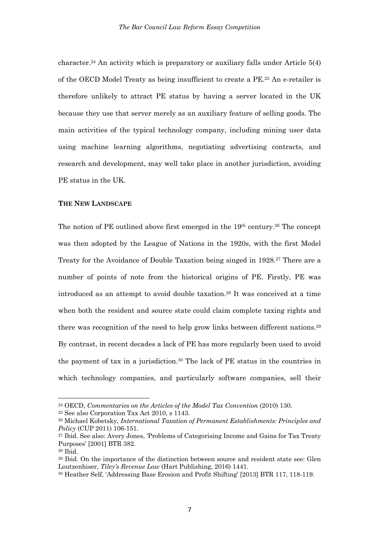character. <sup>24</sup> An activity which is preparatory or auxiliary falls under Article 5(4) of the OECD Model Treaty as being insufficient to create a PE.25 An e-retailer is therefore unlikely to attract PE status by having a server located in the UK because they use that server merely as an auxiliary feature of selling goods. The main activities of the typical technology company, including mining user data using machine learning algorithms, negotiating advertising contracts, and research and development, may well take place in another jurisdiction, avoiding PE status in the UK.

#### **THE NEW LANDSCAPE**

The notion of PE outlined above first emerged in the 19<sup>th</sup> century.<sup>26</sup> The concept was then adopted by the League of Nations in the 1920s, with the first Model Treaty for the Avoidance of Double Taxation being singed in 1928.27 There are a number of points of note from the historical origins of PE. Firstly, PE was introduced as an attempt to avoid double taxation.28 It was conceived at a time when both the resident and source state could claim complete taxing rights and there was recognition of the need to help grow links between different nations.29 By contrast, in recent decades a lack of PE has more regularly been used to avoid the payment of tax in a jurisdiction.30 The lack of PE status in the countries in which technology companies, and particularly software companies, sell their

<sup>24</sup> OECD, *Commentaries on the Articles of the Model Tax Convention* (2010) 130.

<sup>25</sup> See also Corporation Tax Act 2010, s 1143.

<sup>26</sup> Michael Kobetsky, *International Taxation of Permanent Establishments: Principles and Policy* (CUP 2011) 106-151.

<sup>27</sup> Ibid. See also: Avery Jones, 'Problems of Categorising Income and Gains for Tax Treaty Purposes' [2001] BTR 382.

<sup>28</sup> Ibid.

<sup>29</sup> Ibid. On the importance of the distinction between source and resident state see: Glen Loutzenhiser, *Tiley's Revenue Law* (Hart Publishing, 2016) 1441.

<sup>30</sup> Heather Self, 'Addressing Base Erosion and Profit Shifting' [2013] BTR 117, 118-119.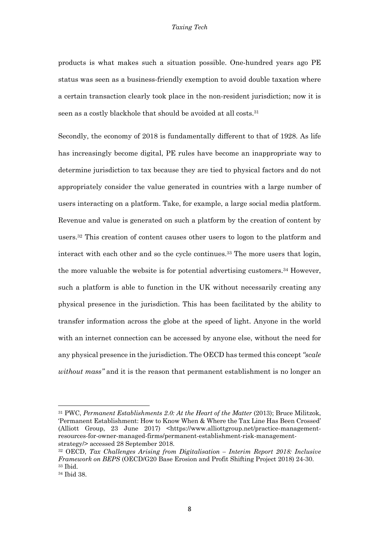#### *Taxing Tech*

products is what makes such a situation possible. One-hundred years ago PE status was seen as a business-friendly exemption to avoid double taxation where a certain transaction clearly took place in the non-resident jurisdiction; now it is seen as a costly blackhole that should be avoided at all costs. 31

Secondly, the economy of 2018 is fundamentally different to that of 1928. As life has increasingly become digital, PE rules have become an inappropriate way to determine jurisdiction to tax because they are tied to physical factors and do not appropriately consider the value generated in countries with a large number of users interacting on a platform. Take, for example, a large social media platform. Revenue and value is generated on such a platform by the creation of content by users.32 This creation of content causes other users to logon to the platform and interact with each other and so the cycle continues.33 The more users that login, the more valuable the website is for potential advertising customers.34 However, such a platform is able to function in the UK without necessarily creating any physical presence in the jurisdiction. This has been facilitated by the ability to transfer information across the globe at the speed of light. Anyone in the world with an internet connection can be accessed by anyone else, without the need for any physical presence in the jurisdiction. The OECD has termed this concept *"scale without mass"* and it is the reason that permanent establishment is no longer an

<sup>31</sup> PWC, *Permanent Establishments 2.0: At the Heart of the Matter* (2013); Bruce Militzok, 'Permanent Establishment: How to Know When & Where the Tax Line Has Been Crossed' (Alliott Group, 23 June 2017) <https://www.alliottgroup.net/practice-managementresources-for-owner-managed-firms/permanent-establishment-risk-managementstrategy/> accessed 28 September 2018.

<sup>32</sup> OECD, *Tax Challenges Arising from Digitalisation – Interim Report 2018: Inclusive Framework on BEPS* (OECD/G20 Base Erosion and Profit Shifting Project 2018) 24-30. <sup>33</sup> Ibid.

<sup>34</sup> Ibid 38.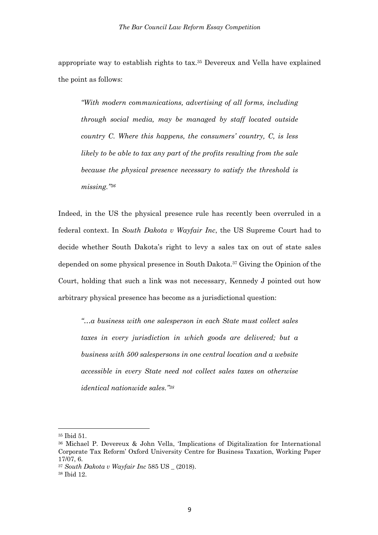appropriate way to establish rights to tax.35 Devereux and Vella have explained the point as follows:

*"With modern communications, advertising of all forms, including through social media, may be managed by staff located outside country C. Where this happens, the consumers' country, C, is less likely to be able to tax any part of the profits resulting from the sale because the physical presence necessary to satisfy the threshold is missing."36*

Indeed, in the US the physical presence rule has recently been overruled in a federal context. In *South Dakota v Wayfair Inc*, the US Supreme Court had to decide whether South Dakota's right to levy a sales tax on out of state sales depended on some physical presence in South Dakota.37 Giving the Opinion of the Court, holding that such a link was not necessary, Kennedy J pointed out how arbitrary physical presence has become as a jurisdictional question:

*"…a business with one salesperson in each State must collect sales taxes in every jurisdiction in which goods are delivered; but a business with 500 salespersons in one central location and a website accessible in every State need not collect sales taxes on otherwise identical nationwide sales."38*

<sup>35</sup> Ibid 51.

<sup>36</sup> Michael P. Devereux & John Vella, 'Implications of Digitalization for International Corporate Tax Reform' Oxford University Centre for Business Taxation, Working Paper 17/07, 6.

<sup>37</sup> *South Dakota v Wayfair Inc* 585 US \_ (2018).

<sup>38</sup> Ibid 12.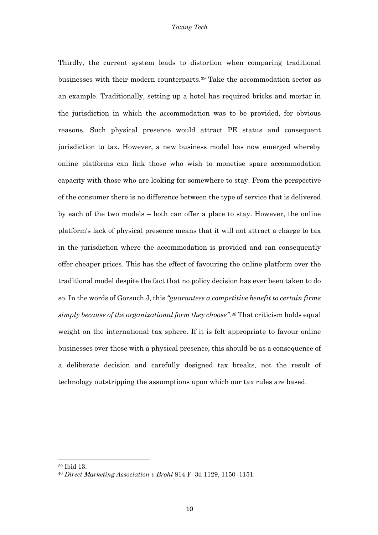Thirdly, the current system leads to distortion when comparing traditional businesses with their modern counterparts.39 Take the accommodation sector as an example. Traditionally, setting up a hotel has required bricks and mortar in the jurisdiction in which the accommodation was to be provided, for obvious reasons. Such physical presence would attract PE status and consequent jurisdiction to tax. However, a new business model has now emerged whereby online platforms can link those who wish to monetise spare accommodation capacity with those who are looking for somewhere to stay. From the perspective of the consumer there is no difference between the type of service that is delivered by each of the two models – both can offer a place to stay. However, the online platform's lack of physical presence means that it will not attract a charge to tax in the jurisdiction where the accommodation is provided and can consequently offer cheaper prices. This has the effect of favouring the online platform over the traditional model despite the fact that no policy decision has ever been taken to do so. In the words of Gorsuch J, this *"guarantees a competitive benefit to certain firms simply because of the organizational form they choose".40* That criticism holds equal weight on the international tax sphere. If it is felt appropriate to favour online businesses over those with a physical presence, this should be as a consequence of a deliberate decision and carefully designed tax breaks, not the result of technology outstripping the assumptions upon which our tax rules are based.

<sup>39</sup> Ibid 13.

<sup>40</sup> *Direct Marketing Association v Brohl* 814 F. 3d 1129, 1150–1151.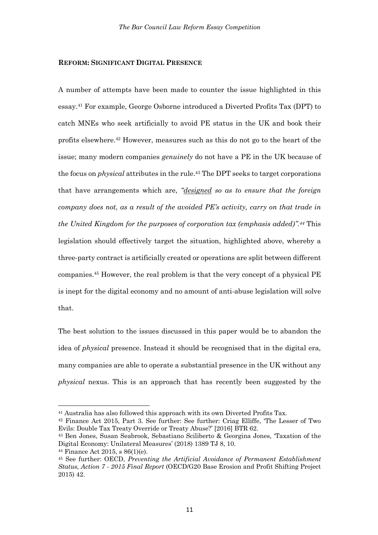## **REFORM: SIGNIFICANT DIGITAL PRESENCE**

A number of attempts have been made to counter the issue highlighted in this essay. <sup>41</sup> For example, George Osborne introduced a Diverted Profits Tax (DPT) to catch MNEs who seek artificially to avoid PE status in the UK and book their profits elsewhere. <sup>42</sup> However, measures such as this do not go to the heart of the issue; many modern companies *genuinely* do not have a PE in the UK because of the focus on *physical* attributes in the rule.43 The DPT seeks to target corporations that have arrangements which are, *"designed so as to ensure that the foreign company does not, as a result of the avoided PE's activity, carry on that trade in the United Kingdom for the purposes of corporation tax (emphasis added)".44* This legislation should effectively target the situation, highlighted above, whereby a three-party contract is artificially created or operations are split between different companies.45 However, the real problem is that the very concept of a physical PE is inept for the digital economy and no amount of anti-abuse legislation will solve that.

The best solution to the issues discussed in this paper would be to abandon the idea of *physical* presence. Instead it should be recognised that in the digital era, many companies are able to operate a substantial presence in the UK without any *physical* nexus. This is an approach that has recently been suggested by the

<sup>41</sup> Australia has also followed this approach with its own Diverted Profits Tax.

<sup>42</sup> Finance Act 2015, Part 3. See further: See further: Criag Elliffe, 'The Lesser of Two Evils: Double Tax Treaty Override or Treaty Abuse?' [2016] BTR 62.

<sup>43</sup> Ben Jones, Susan Seabrook, Sebastiano Sciliberto & Georgina Jones, 'Taxation of the Digital Economy: Unilateral Measures' (2018) 1389 TJ 8, 10.

<sup>44</sup> Finance Act 2015, s 86(1)(e).

<sup>45</sup> See further: OECD, *Preventing the Artificial Avoidance of Permanent Establishment Status, Action 7 - 2015 Final Report* (OECD/G20 Base Erosion and Profit Shifting Project 2015) 42.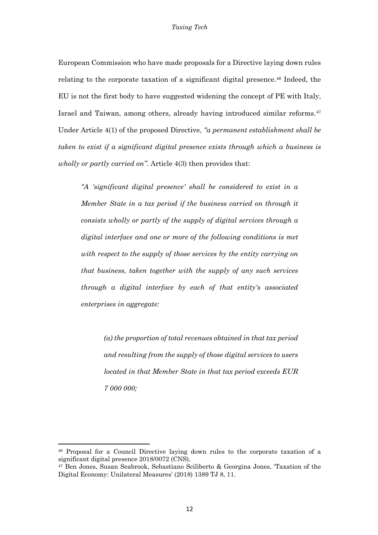European Commission who have made proposals for a Directive laying down rules relating to the corporate taxation of a significant digital presence.<sup>46</sup> Indeed, the EU is not the first body to have suggested widening the concept of PE with Italy, Israel and Taiwan, among others, already having introduced similar reforms.47 Under Article 4(1) of the proposed Directive, *"a permanent establishment shall be taken to exist if a significant digital presence exists through which a business is wholly or partly carried on"*. Article 4(3) then provides that:

*"A 'significant digital presence' shall be considered to exist in a Member State in a tax period if the business carried on through it consists wholly or partly of the supply of digital services through a digital interface and one or more of the following conditions is met with respect to the supply of those services by the entity carrying on that business, taken together with the supply of any such services through a digital interface by each of that entity's associated enterprises in aggregate:* 

> *(a) the proportion of total revenues obtained in that tax period and resulting from the supply of those digital services to users located in that Member State in that tax period exceeds EUR 7 000 000;*

<sup>46</sup> Proposal for a Council Directive laying down rules to the corporate taxation of a significant digital presence 2018/0072 (CNS).

<sup>47</sup> Ben Jones, Susan Seabrook, Sebastiano Sciliberto & Georgina Jones, 'Taxation of the Digital Economy: Unilateral Measures' (2018) 1389 TJ 8, 11.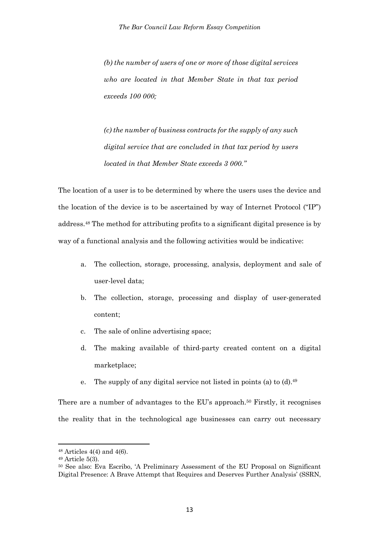*(b) the number of users of one or more of those digital services who are located in that Member State in that tax period exceeds 100 000;* 

*(c) the number of business contracts for the supply of any such digital service that are concluded in that tax period by users located in that Member State exceeds 3 000."*

The location of a user is to be determined by where the users uses the device and the location of the device is to be ascertained by way of Internet Protocol ("IP") address.48 The method for attributing profits to a significant digital presence is by way of a functional analysis and the following activities would be indicative:

- a. The collection, storage, processing, analysis, deployment and sale of user-level data;
- b. The collection, storage, processing and display of user-generated content;
- c. The sale of online advertising space;
- d. The making available of third-party created content on a digital marketplace;
- e. The supply of any digital service not listed in points (a) to  $(d)$ .<sup>49</sup>

There are a number of advantages to the EU's approach.<sup>50</sup> Firstly, it recognises the reality that in the technological age businesses can carry out necessary

 $48$  Articles  $4(4)$  and  $4(6)$ .

<sup>49</sup> Article 5(3).

<sup>50</sup> See also: Eva Escribo, 'A Preliminary Assessment of the EU Proposal on Significant Digital Presence: A Brave Attempt that Requires and Deserves Further Analysis' (SSRN,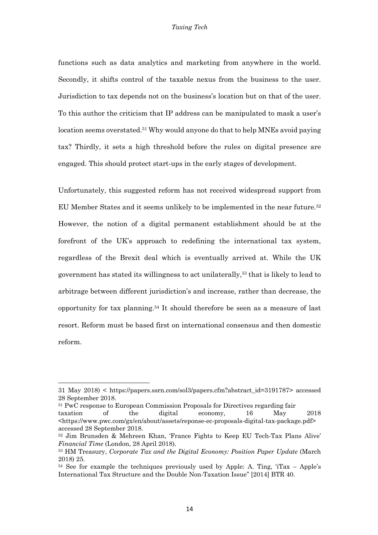#### *Taxing Tech*

functions such as data analytics and marketing from anywhere in the world. Secondly, it shifts control of the taxable nexus from the business to the user. Jurisdiction to tax depends not on the business's location but on that of the user. To this author the criticism that IP address can be manipulated to mask a user's location seems overstated.<sup>51</sup> Why would anyone do that to help MNEs avoid paying tax? Thirdly, it sets a high threshold before the rules on digital presence are engaged. This should protect start-ups in the early stages of development.

Unfortunately, this suggested reform has not received widespread support from EU Member States and it seems unlikely to be implemented in the near future.52 However, the notion of a digital permanent establishment should be at the forefront of the UK's approach to redefining the international tax system, regardless of the Brexit deal which is eventually arrived at. While the UK government has stated its willingness to act unilaterally,53 that is likely to lead to arbitrage between different jurisdiction's and increase, rather than decrease, the opportunity for tax planning.54 It should therefore be seen as a measure of last resort. Reform must be based first on international consensus and then domestic reform.

<sup>31</sup> May 2018) < https://papers.ssrn.com/sol3/papers.cfm?abstract\_id=3191787> accessed 28 September 2018.

<sup>51</sup> PwC response to European Commission Proposals for Directives regarding fair

taxation of the digital economy, 16 May 2018 <https://www.pwc.com/gx/en/about/assets/reponse-ec-proposals-digital-tax-package.pdf> accessed 28 September 2018.

<sup>52</sup> Jim Brunsden & Mehreen Khan, 'France Fights to Keep EU Tech-Tax Plans Alive' *Financial Time* (London, 28 April 2018).

<sup>53</sup> HM Treasury, *Corporate Tax and the Digital Economy: Position Paper Update* (March 2018) 25.

 $54$  See for example the techniques previously used by Apple: A. Ting,  $Tax - Apple's$ International Tax Structure and the Double Non-Taxation Issue" [2014] BTR 40.